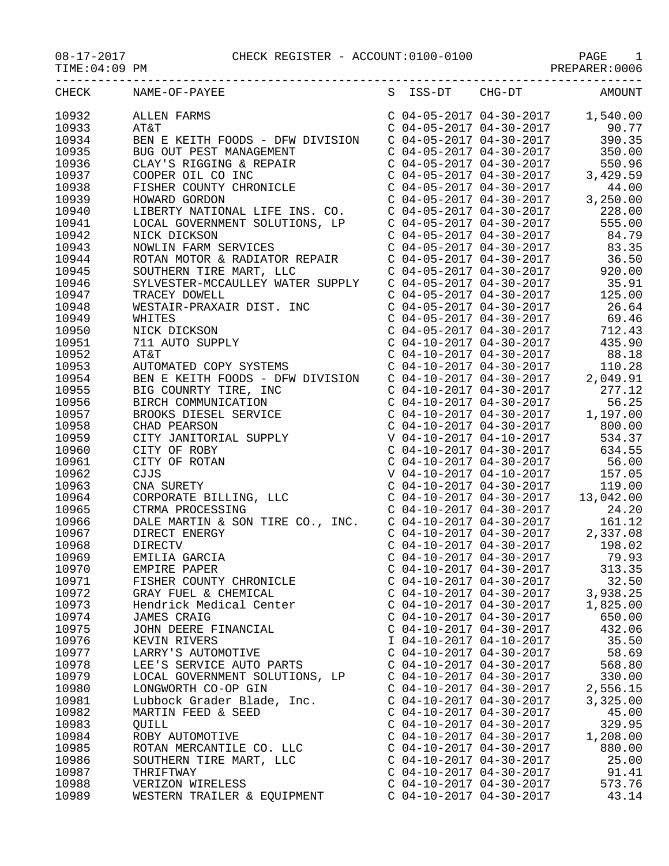## 08-17-2017 CHECK REGISTER - ACCOUNT:0100-0100 PAGE 1

TIME:04:09 PM PREPARER:0006

| CHECK | NAME-OF-PAYEE                                                                                                                                                                                                                                                                                                                                                                                  |                           |                           | S ISS-DT CHG-DT AMOUNT        |
|-------|------------------------------------------------------------------------------------------------------------------------------------------------------------------------------------------------------------------------------------------------------------------------------------------------------------------------------------------------------------------------------------------------|---------------------------|---------------------------|-------------------------------|
| 10932 | $\begin{tabular}{l c c c c c} \multicolumn{4}{c}{\textbf{ALLEN FRRMS}} & $\mathbb{C}$ & $04-05-2017$ & $4-30-2017$ & $1,540.00 \\ \multicolumn{4}{c}{\textbf{BEN E KEITH F OODS - DFW DIVISION}} & $\mathbb{C}$ & $04-05-2017$ & $94-30-2017$ & $90.77$ \\ \multicolumn{4}{c}{\textbf{BUS GUN PEST MAMGEMENT}} & $\mathbb{C}$ & $04-05-2017$ & $94-30-2017$ & $390.35$ \\ \multic$             |                           |                           |                               |
| 10933 |                                                                                                                                                                                                                                                                                                                                                                                                |                           |                           |                               |
| 10934 |                                                                                                                                                                                                                                                                                                                                                                                                |                           |                           |                               |
| 10935 |                                                                                                                                                                                                                                                                                                                                                                                                |                           |                           |                               |
| 10936 |                                                                                                                                                                                                                                                                                                                                                                                                |                           |                           |                               |
| 10937 |                                                                                                                                                                                                                                                                                                                                                                                                |                           |                           |                               |
| 10938 |                                                                                                                                                                                                                                                                                                                                                                                                |                           |                           |                               |
| 10939 |                                                                                                                                                                                                                                                                                                                                                                                                |                           |                           |                               |
| 10940 |                                                                                                                                                                                                                                                                                                                                                                                                |                           |                           |                               |
| 10941 |                                                                                                                                                                                                                                                                                                                                                                                                |                           |                           |                               |
| 10942 |                                                                                                                                                                                                                                                                                                                                                                                                |                           |                           |                               |
| 10943 |                                                                                                                                                                                                                                                                                                                                                                                                |                           |                           |                               |
|       |                                                                                                                                                                                                                                                                                                                                                                                                |                           |                           |                               |
| 10944 |                                                                                                                                                                                                                                                                                                                                                                                                |                           |                           |                               |
| 10945 |                                                                                                                                                                                                                                                                                                                                                                                                |                           |                           |                               |
| 10946 |                                                                                                                                                                                                                                                                                                                                                                                                |                           |                           |                               |
| 10947 |                                                                                                                                                                                                                                                                                                                                                                                                |                           |                           |                               |
| 10948 |                                                                                                                                                                                                                                                                                                                                                                                                |                           |                           |                               |
| 10949 |                                                                                                                                                                                                                                                                                                                                                                                                |                           |                           |                               |
| 10950 |                                                                                                                                                                                                                                                                                                                                                                                                |                           |                           |                               |
| 10951 |                                                                                                                                                                                                                                                                                                                                                                                                |                           |                           |                               |
| 10952 |                                                                                                                                                                                                                                                                                                                                                                                                |                           |                           |                               |
| 10953 |                                                                                                                                                                                                                                                                                                                                                                                                |                           |                           |                               |
| 10954 |                                                                                                                                                                                                                                                                                                                                                                                                |                           |                           |                               |
| 10955 |                                                                                                                                                                                                                                                                                                                                                                                                |                           |                           |                               |
| 10956 | TRACEY DOWELL<br>WESTAIR-PRAXAIR DIST. INC<br>WEITES<br>WHITES<br>WHITES<br>NICK DICKSON<br>NICK DICKSON<br>TIL AUTO SUPPLY<br>NICK DICKSON<br>TO SUPPLY<br>C 04-05-2017 04-30-2017<br>C 04-05-2017 04-30-2017<br>C 04-05-2017 04-30-2017<br>C 04-10-201                                                                                                                                       |                           |                           |                               |
| 10957 |                                                                                                                                                                                                                                                                                                                                                                                                |                           |                           |                               |
| 10958 |                                                                                                                                                                                                                                                                                                                                                                                                |                           |                           |                               |
| 10959 |                                                                                                                                                                                                                                                                                                                                                                                                |                           |                           |                               |
| 10960 | $\begin{tabular}{l c c c c c} \multicolumn{1}{c}{\textbf{BEN E KEITH\ FOOD}} & $\mathsf{DEN} & $\mathsf{DIVISION}$ & $\mathsf{C} & $04-10-2017$ & $04-30-2017$ & $2,049.91$ \\ \multicolumn{1}{c}{\textbf{BICC} & $\mathsf{OMMIVICATION} & $\mathsf{C}$ & $\mathsf{C}$ & $04-10-2017$ & $04-30-2017$ & $277.12$ \\ \multicolumn{1}{c}{\textbf{BRC}} & $\mathsf{C}$ & $\mathsf{C}$ & $04-10-20$ |                           |                           |                               |
| 10961 |                                                                                                                                                                                                                                                                                                                                                                                                |                           |                           |                               |
| 10962 |                                                                                                                                                                                                                                                                                                                                                                                                |                           |                           |                               |
| 10963 |                                                                                                                                                                                                                                                                                                                                                                                                |                           |                           |                               |
| 10964 |                                                                                                                                                                                                                                                                                                                                                                                                |                           |                           |                               |
| 10965 |                                                                                                                                                                                                                                                                                                                                                                                                |                           |                           |                               |
| 10966 |                                                                                                                                                                                                                                                                                                                                                                                                |                           |                           |                               |
| 10967 |                                                                                                                                                                                                                                                                                                                                                                                                |                           |                           |                               |
| 10968 |                                                                                                                                                                                                                                                                                                                                                                                                |                           |                           |                               |
| 10969 | EMILIA GARCIA                                                                                                                                                                                                                                                                                                                                                                                  |                           |                           | C 04-10-2017 04-30-2017 79.93 |
| 10970 | EMPIRE PAPER                                                                                                                                                                                                                                                                                                                                                                                   |                           | $C$ 04-10-2017 04-30-2017 | 313.35                        |
| 10971 | FISHER COUNTY CHRONICLE                                                                                                                                                                                                                                                                                                                                                                        | $C$ 04-10-2017 04-30-2017 |                           | 32.50                         |
| 10972 | GRAY FUEL & CHEMICAL                                                                                                                                                                                                                                                                                                                                                                           | $C$ 04-10-2017 04-30-2017 |                           | 3,938.25                      |
| 10973 | Hendrick Medical Center                                                                                                                                                                                                                                                                                                                                                                        | $C$ 04-10-2017 04-30-2017 |                           | 1,825.00                      |
| 10974 | <b>JAMES CRAIG</b>                                                                                                                                                                                                                                                                                                                                                                             | $C$ 04-10-2017 04-30-2017 |                           | 650.00                        |
| 10975 | JOHN DEERE FINANCIAL                                                                                                                                                                                                                                                                                                                                                                           | $C$ 04-10-2017 04-30-2017 |                           | 432.06                        |
| 10976 | KEVIN RIVERS                                                                                                                                                                                                                                                                                                                                                                                   | I 04-10-2017 04-10-2017   |                           | 35.50                         |
|       |                                                                                                                                                                                                                                                                                                                                                                                                |                           |                           |                               |
| 10977 | LARRY'S AUTOMOTIVE                                                                                                                                                                                                                                                                                                                                                                             | $C$ 04-10-2017 04-30-2017 |                           | 58.69                         |
| 10978 | LEE'S SERVICE AUTO PARTS                                                                                                                                                                                                                                                                                                                                                                       | $C$ 04-10-2017 04-30-2017 |                           | 568.80                        |
| 10979 | LOCAL GOVERNMENT SOLUTIONS, LP                                                                                                                                                                                                                                                                                                                                                                 | $C$ 04-10-2017 04-30-2017 |                           | 330.00                        |
| 10980 | LONGWORTH CO-OP GIN                                                                                                                                                                                                                                                                                                                                                                            | $C$ 04-10-2017 04-30-2017 |                           | 2,556.15                      |
| 10981 | Lubbock Grader Blade, Inc.                                                                                                                                                                                                                                                                                                                                                                     | $C$ 04-10-2017 04-30-2017 |                           | 3,325.00                      |
| 10982 | MARTIN FEED & SEED                                                                                                                                                                                                                                                                                                                                                                             | $C$ 04-10-2017 04-30-2017 |                           | 45.00                         |
| 10983 | <b>QUILL</b>                                                                                                                                                                                                                                                                                                                                                                                   | $C$ 04-10-2017 04-30-2017 |                           | 329.95                        |
| 10984 | ROBY AUTOMOTIVE                                                                                                                                                                                                                                                                                                                                                                                | $C$ 04-10-2017 04-30-2017 |                           | 1,208.00                      |
| 10985 | ROTAN MERCANTILE CO. LLC                                                                                                                                                                                                                                                                                                                                                                       | $C$ 04-10-2017 04-30-2017 |                           | 880.00                        |
| 10986 | SOUTHERN TIRE MART, LLC                                                                                                                                                                                                                                                                                                                                                                        | $C$ 04-10-2017 04-30-2017 |                           | 25.00                         |
| 10987 | THRIFTWAY                                                                                                                                                                                                                                                                                                                                                                                      | $C$ 04-10-2017 04-30-2017 |                           | 91.41                         |
| 10988 | VERIZON WIRELESS                                                                                                                                                                                                                                                                                                                                                                               | $C$ 04-10-2017 04-30-2017 |                           | 573.76                        |
| 10989 | WESTERN TRAILER & EQUIPMENT                                                                                                                                                                                                                                                                                                                                                                    | $C$ 04-10-2017 04-30-2017 |                           | 43.14                         |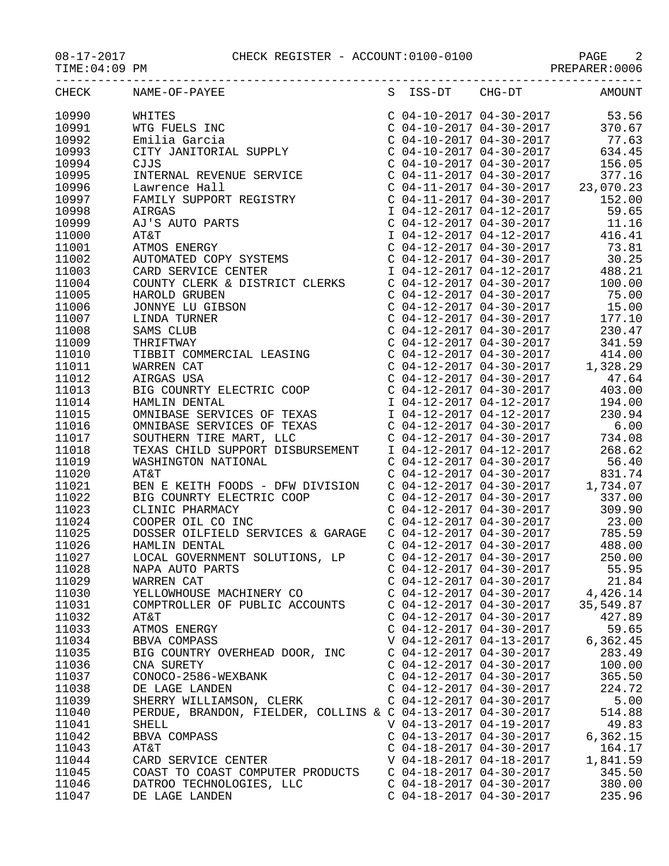## 08-17-2017 CHECK REGISTER - ACCOUNT:0100-0100 PAGE 2

PREPARER:0006

|       | CHECK NAME-OF-PAYEE<br>$\begin{tabular}{l c c c c c} \multicolumn{4}{l}{\textbf{MMDS}-\textbf{UPFFS}} & $\mathbb{C}$ & $\mathbb{C}$ & $\mathbb{C}$ & $\mathbb{C}$ & $\mathbb{C}$ \\ \multicolumn{4}{l}{\textbf{WHTTS FIS}} & $\mathbb{C}$ & $\mathbb{C}$ & $\mathbb{C}$ & $\mathbb{C}$ & $\mathbb{C}$ & $\mathbb{C}$ & $\mathbb{C}$ \\ \multicolumn{4}{l}{\textbf{MHTG FINR}} & $\mathbb{C}$ & $\mathbb{C}$ & $\mathbb{C}$ & $\mathbb{C}$ & $\mathbb{C}$ & $\mathbb{C}$ & $\mathbb{C}$ & $\math$ |                           |                           | S ISS-DT CHG-DT AMOUNT |
|-------|--------------------------------------------------------------------------------------------------------------------------------------------------------------------------------------------------------------------------------------------------------------------------------------------------------------------------------------------------------------------------------------------------------------------------------------------------------------------------------------------------|---------------------------|---------------------------|------------------------|
| 10990 |                                                                                                                                                                                                                                                                                                                                                                                                                                                                                                  |                           |                           |                        |
| 10991 |                                                                                                                                                                                                                                                                                                                                                                                                                                                                                                  |                           |                           |                        |
| 10992 |                                                                                                                                                                                                                                                                                                                                                                                                                                                                                                  |                           |                           |                        |
| 10993 |                                                                                                                                                                                                                                                                                                                                                                                                                                                                                                  |                           |                           |                        |
| 10994 |                                                                                                                                                                                                                                                                                                                                                                                                                                                                                                  |                           |                           |                        |
| 10995 |                                                                                                                                                                                                                                                                                                                                                                                                                                                                                                  |                           |                           |                        |
| 10996 |                                                                                                                                                                                                                                                                                                                                                                                                                                                                                                  |                           |                           |                        |
| 10997 |                                                                                                                                                                                                                                                                                                                                                                                                                                                                                                  |                           |                           |                        |
| 10998 |                                                                                                                                                                                                                                                                                                                                                                                                                                                                                                  |                           |                           |                        |
| 10999 |                                                                                                                                                                                                                                                                                                                                                                                                                                                                                                  |                           |                           |                        |
| 11000 |                                                                                                                                                                                                                                                                                                                                                                                                                                                                                                  |                           |                           |                        |
| 11001 |                                                                                                                                                                                                                                                                                                                                                                                                                                                                                                  |                           |                           |                        |
| 11002 |                                                                                                                                                                                                                                                                                                                                                                                                                                                                                                  |                           |                           |                        |
| 11003 |                                                                                                                                                                                                                                                                                                                                                                                                                                                                                                  |                           |                           |                        |
| 11004 |                                                                                                                                                                                                                                                                                                                                                                                                                                                                                                  |                           |                           |                        |
| 11005 |                                                                                                                                                                                                                                                                                                                                                                                                                                                                                                  |                           |                           |                        |
| 11006 |                                                                                                                                                                                                                                                                                                                                                                                                                                                                                                  |                           |                           |                        |
|       |                                                                                                                                                                                                                                                                                                                                                                                                                                                                                                  |                           |                           |                        |
| 11007 |                                                                                                                                                                                                                                                                                                                                                                                                                                                                                                  |                           |                           |                        |
| 11008 |                                                                                                                                                                                                                                                                                                                                                                                                                                                                                                  |                           |                           |                        |
| 11009 |                                                                                                                                                                                                                                                                                                                                                                                                                                                                                                  |                           |                           |                        |
| 11010 |                                                                                                                                                                                                                                                                                                                                                                                                                                                                                                  |                           |                           |                        |
| 11011 |                                                                                                                                                                                                                                                                                                                                                                                                                                                                                                  |                           |                           |                        |
| 11012 |                                                                                                                                                                                                                                                                                                                                                                                                                                                                                                  |                           |                           |                        |
| 11013 |                                                                                                                                                                                                                                                                                                                                                                                                                                                                                                  |                           |                           |                        |
| 11014 |                                                                                                                                                                                                                                                                                                                                                                                                                                                                                                  |                           |                           |                        |
| 11015 |                                                                                                                                                                                                                                                                                                                                                                                                                                                                                                  |                           |                           |                        |
| 11016 |                                                                                                                                                                                                                                                                                                                                                                                                                                                                                                  |                           |                           |                        |
| 11017 |                                                                                                                                                                                                                                                                                                                                                                                                                                                                                                  |                           |                           |                        |
| 11018 |                                                                                                                                                                                                                                                                                                                                                                                                                                                                                                  |                           |                           |                        |
| 11019 |                                                                                                                                                                                                                                                                                                                                                                                                                                                                                                  |                           |                           |                        |
| 11020 |                                                                                                                                                                                                                                                                                                                                                                                                                                                                                                  |                           |                           |                        |
| 11021 | BEN E KEITH FOODS - DFW DIVISION C 04-12-2017 04-30-2017 1,734.07                                                                                                                                                                                                                                                                                                                                                                                                                                |                           |                           |                        |
| 11022 | BEN E REITH FOODS - DEW DIVISION<br>BIG COUNRTY ELECTRIC COOP<br>CLINIC PHARMACY<br>COOPER OIL CO INC<br>COOPER OIL CO INC<br>DOSSER OILFIELD SERVICES & GARAGE<br>CO4-12-2017 04-30-2017<br>COAL GOVERNMENT SOLUTIONS, LP<br>LOCAL GOVERNMENT                                                                                                                                                                                                                                                   |                           |                           |                        |
| 11023 |                                                                                                                                                                                                                                                                                                                                                                                                                                                                                                  |                           |                           |                        |
| 11024 |                                                                                                                                                                                                                                                                                                                                                                                                                                                                                                  |                           |                           |                        |
| 11025 |                                                                                                                                                                                                                                                                                                                                                                                                                                                                                                  |                           |                           |                        |
| 11026 |                                                                                                                                                                                                                                                                                                                                                                                                                                                                                                  |                           |                           |                        |
| 11027 |                                                                                                                                                                                                                                                                                                                                                                                                                                                                                                  |                           |                           |                        |
| 11028 | NAPA AUTO PARTS                                                                                                                                                                                                                                                                                                                                                                                                                                                                                  |                           | $C$ 04-12-2017 04-30-2017 | 55.95                  |
| 11029 | WARREN CAT                                                                                                                                                                                                                                                                                                                                                                                                                                                                                       | C 04-12-2017 04-30-2017   |                           | 21.84                  |
| 11030 | YELLOWHOUSE MACHINERY CO                                                                                                                                                                                                                                                                                                                                                                                                                                                                         | $C$ 04-12-2017 04-30-2017 |                           | 4,426.14               |
| 11031 | COMPTROLLER OF PUBLIC ACCOUNTS                                                                                                                                                                                                                                                                                                                                                                                                                                                                   | $C$ 04-12-2017 04-30-2017 |                           | 35,549.87              |
| 11032 | AT&T                                                                                                                                                                                                                                                                                                                                                                                                                                                                                             | $C$ 04-12-2017 04-30-2017 |                           | 427.89                 |
| 11033 | ATMOS ENERGY                                                                                                                                                                                                                                                                                                                                                                                                                                                                                     | $C$ 04-12-2017 04-30-2017 |                           | 59.65                  |
| 11034 | BBVA COMPASS                                                                                                                                                                                                                                                                                                                                                                                                                                                                                     | V 04-12-2017 04-13-2017   |                           | 6,362.45               |
| 11035 | BIG COUNTRY OVERHEAD DOOR, INC                                                                                                                                                                                                                                                                                                                                                                                                                                                                   | $C$ 04-12-2017 04-30-2017 |                           | 283.49                 |
| 11036 | CNA SURETY                                                                                                                                                                                                                                                                                                                                                                                                                                                                                       | $C$ 04-12-2017 04-30-2017 |                           | 100.00                 |
| 11037 | CONOCO-2586-WEXBANK                                                                                                                                                                                                                                                                                                                                                                                                                                                                              | $C$ 04-12-2017 04-30-2017 |                           | 365.50                 |
| 11038 | DE LAGE LANDEN                                                                                                                                                                                                                                                                                                                                                                                                                                                                                   | $C$ 04-12-2017 04-30-2017 |                           | 224.72                 |
| 11039 | SHERRY WILLIAMSON, CLERK                                                                                                                                                                                                                                                                                                                                                                                                                                                                         | $C$ 04-12-2017 04-30-2017 |                           | 5.00                   |
| 11040 | PERDUE, BRANDON, FIELDER, COLLINS & C 04-13-2017 04-30-2017                                                                                                                                                                                                                                                                                                                                                                                                                                      |                           |                           | 514.88                 |
| 11041 | SHELL                                                                                                                                                                                                                                                                                                                                                                                                                                                                                            | V 04-13-2017 04-19-2017   |                           | 49.83                  |
| 11042 | BBVA COMPASS                                                                                                                                                                                                                                                                                                                                                                                                                                                                                     | $C$ 04-13-2017 04-30-2017 |                           | 6,362.15               |
| 11043 | AT&T                                                                                                                                                                                                                                                                                                                                                                                                                                                                                             | $C$ 04-18-2017 04-30-2017 |                           | 164.17                 |
| 11044 | CARD SERVICE CENTER                                                                                                                                                                                                                                                                                                                                                                                                                                                                              | V 04-18-2017 04-18-2017   |                           | 1,841.59               |
| 11045 | COAST TO COAST COMPUTER PRODUCTS                                                                                                                                                                                                                                                                                                                                                                                                                                                                 | $C$ 04-18-2017 04-30-2017 |                           | 345.50                 |
| 11046 | DATROO TECHNOLOGIES, LLC                                                                                                                                                                                                                                                                                                                                                                                                                                                                         | $C$ 04-18-2017 04-30-2017 |                           | 380.00                 |
| 11047 | DE LAGE LANDEN                                                                                                                                                                                                                                                                                                                                                                                                                                                                                   | $C$ 04-18-2017 04-30-2017 |                           | 235.96                 |
|       |                                                                                                                                                                                                                                                                                                                                                                                                                                                                                                  |                           |                           |                        |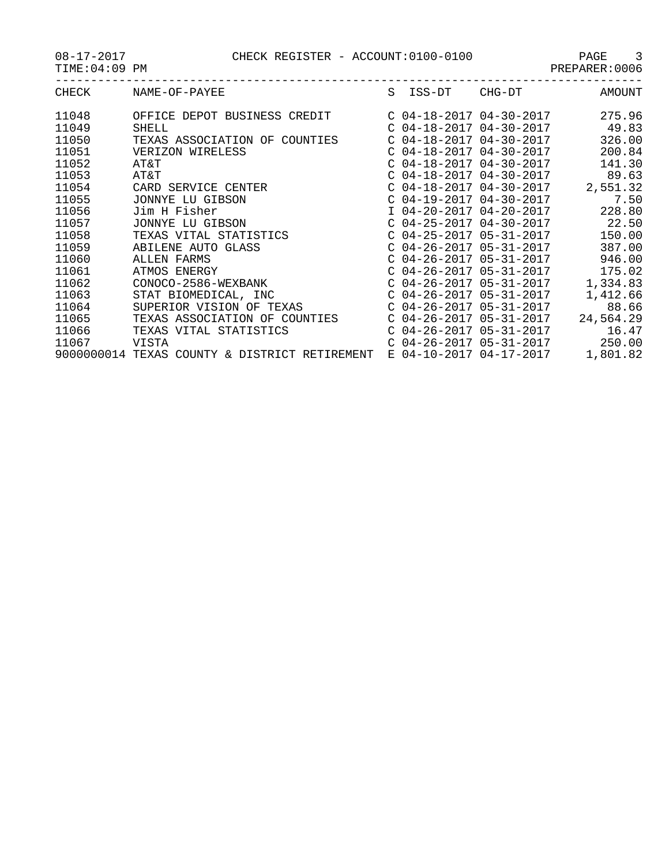|                     | r und |  |  |
|---------------------|-------|--|--|
| <u>nnnnannn • C</u> |       |  |  |

| CHECK | NAME-OF-PAYEE                                 | $S_{\mathcal{L}}$ | ISS-DT                    | CHG-DT                    | <b>AMOUNT</b> |
|-------|-----------------------------------------------|-------------------|---------------------------|---------------------------|---------------|
| 11048 | OFFICE DEPOT BUSINESS CREDIT                  |                   |                           | $C$ 04-18-2017 04-30-2017 | 275.96        |
| 11049 | <b>SHELL</b>                                  |                   | $C$ 04-18-2017 04-30-2017 |                           | 49.83         |
| 11050 | TEXAS ASSOCIATION OF COUNTIES                 |                   | $C$ 04-18-2017 04-30-2017 |                           | 326.00        |
| 11051 | VERIZON WIRELESS                              |                   | $C$ 04-18-2017 04-30-2017 |                           | 200.84        |
| 11052 | AT&T                                          |                   | $C$ 04-18-2017 04-30-2017 |                           | 141.30        |
| 11053 | AT&T                                          |                   | $C$ 04-18-2017 04-30-2017 |                           | 89.63         |
| 11054 | CARD SERVICE CENTER                           |                   | $C$ 04-18-2017 04-30-2017 |                           | 2,551.32      |
| 11055 | JONNYE LU GIBSON                              |                   | $C$ 04-19-2017 04-30-2017 |                           | 7.50          |
| 11056 | Jim H Fisher                                  |                   |                           | I 04-20-2017 04-20-2017   | 228.80        |
| 11057 | JONNYE LU GIBSON                              |                   | $C$ 04-25-2017 04-30-2017 |                           | 22.50         |
| 11058 | TEXAS VITAL STATISTICS                        |                   | $C$ 04-25-2017 05-31-2017 |                           | 150.00        |
| 11059 | ABILENE AUTO GLASS                            |                   | $C$ 04-26-2017 05-31-2017 |                           | 387.00        |
| 11060 | ALLEN FARMS                                   |                   | $C$ 04-26-2017 05-31-2017 |                           | 946.00        |
| 11061 | ATMOS ENERGY                                  |                   | $C$ 04-26-2017 05-31-2017 |                           | 175.02        |
| 11062 | CONOCO-2586-WEXBANK                           |                   | $C$ 04-26-2017 05-31-2017 |                           | 1,334.83      |
| 11063 | STAT BIOMEDICAL, INC                          |                   | $C$ 04-26-2017 05-31-2017 |                           | 1,412.66      |
| 11064 | SUPERIOR VISION OF TEXAS                      |                   | $C$ 04-26-2017 05-31-2017 |                           | 88.66         |
| 11065 | TEXAS ASSOCIATION OF COUNTIES                 |                   | $C$ 04-26-2017 05-31-2017 |                           | 24,564.29     |
| 11066 | TEXAS VITAL STATISTICS                        |                   | $C$ 04-26-2017 05-31-2017 |                           | 16.47         |
| 11067 | VISTA                                         |                   |                           | $C$ 04-26-2017 05-31-2017 | 250.00        |
|       | 9000000014 TEXAS COUNTY & DISTRICT RETIREMENT |                   | E 04-10-2017 04-17-2017   |                           | 1,801.82      |